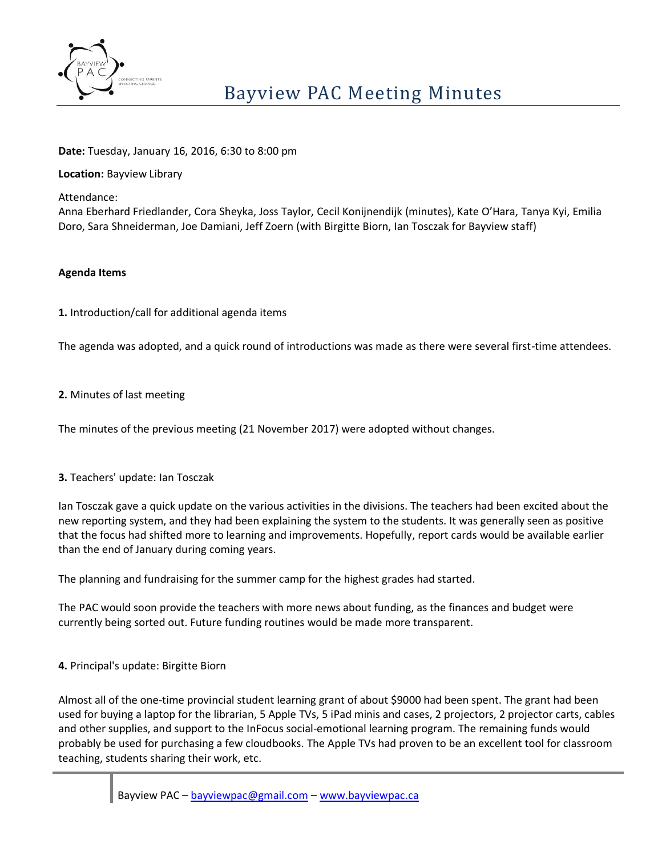

**Date:** Tuesday, January 16, 2016, 6:30 to 8:00 pm

**Location:** Bayview Library

Attendance:

Anna Eberhard Friedlander, Cora Sheyka, Joss Taylor, Cecil Konijnendijk (minutes), Kate O'Hara, Tanya Kyi, Emilia Doro, Sara Shneiderman, Joe Damiani, Jeff Zoern (with Birgitte Biorn, Ian Tosczak for Bayview staff)

## **Agenda Items**

**1.** Introduction/call for additional agenda items

The agenda was adopted, and a quick round of introductions was made as there were several first-time attendees.

## **2.** Minutes of last meeting

The minutes of the previous meeting (21 November 2017) were adopted without changes.

# **3.** Teachers' update: Ian Tosczak

Ian Tosczak gave a quick update on the various activities in the divisions. The teachers had been excited about the new reporting system, and they had been explaining the system to the students. It was generally seen as positive that the focus had shifted more to learning and improvements. Hopefully, report cards would be available earlier than the end of January during coming years.

The planning and fundraising for the summer camp for the highest grades had started.

The PAC would soon provide the teachers with more news about funding, as the finances and budget were currently being sorted out. Future funding routines would be made more transparent.

**4.** Principal's update: Birgitte Biorn

Almost all of the one-time provincial student learning grant of about \$9000 had been spent. The grant had been used for buying a laptop for the librarian, 5 Apple TVs, 5 iPad minis and cases, 2 projectors, 2 projector carts, cables and other supplies, and support to the InFocus social-emotional learning program. The remaining funds would probably be used for purchasing a few cloudbooks. The Apple TVs had proven to be an excellent tool for classroom teaching, students sharing their work, etc.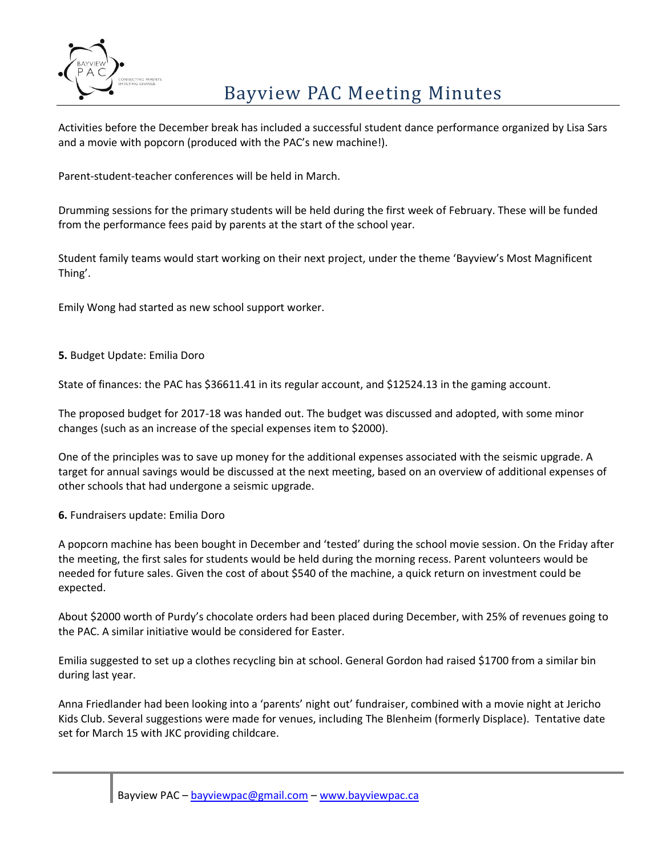

# Bayview PAC Meeting Minutes

Activities before the December break has included a successful student dance performance organized by Lisa Sars and a movie with popcorn (produced with the PAC's new machine!).

Parent-student-teacher conferences will be held in March.

Drumming sessions for the primary students will be held during the first week of February. These will be funded from the performance fees paid by parents at the start of the school year.

Student family teams would start working on their next project, under the theme 'Bayview's Most Magnificent Thing'.

Emily Wong had started as new school support worker.

**5.** Budget Update: Emilia Doro

State of finances: the PAC has \$36611.41 in its regular account, and \$12524.13 in the gaming account.

The proposed budget for 2017-18 was handed out. The budget was discussed and adopted, with some minor changes (such as an increase of the special expenses item to \$2000).

One of the principles was to save up money for the additional expenses associated with the seismic upgrade. A target for annual savings would be discussed at the next meeting, based on an overview of additional expenses of other schools that had undergone a seismic upgrade.

**6.** Fundraisers update: Emilia Doro

A popcorn machine has been bought in December and 'tested' during the school movie session. On the Friday after the meeting, the first sales for students would be held during the morning recess. Parent volunteers would be needed for future sales. Given the cost of about \$540 of the machine, a quick return on investment could be expected.

About \$2000 worth of Purdy's chocolate orders had been placed during December, with 25% of revenues going to the PAC. A similar initiative would be considered for Easter.

Emilia suggested to set up a clothes recycling bin at school. General Gordon had raised \$1700 from a similar bin during last year.

Anna Friedlander had been looking into a 'parents' night out' fundraiser, combined with a movie night at Jericho Kids Club. Several suggestions were made for venues, including The Blenheim (formerly Displace). Tentative date set for March 15 with JKC providing childcare.